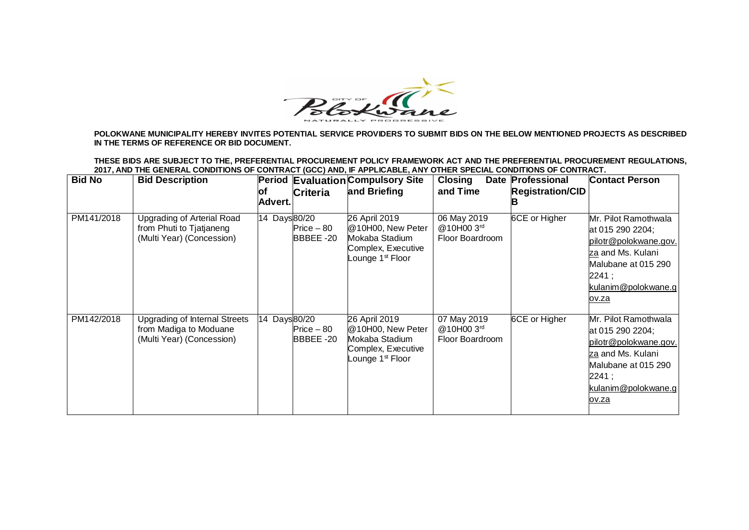

**POLOKWANE MUNICIPALITY HEREBY INVITES POTENTIAL SERVICE PROVIDERS TO SUBMIT BIDS ON THE BELOW MENTIONED PROJECTS AS DESCRIBED IN THE TERMS OF REFERENCE OR BID DOCUMENT.**

**THESE BIDS ARE SUBJECT TO THE, PREFERENTIAL PROCUREMENT POLICY FRAMEWORK ACT AND THE PREFERENTIAL PROCUREMENT REGULATIONS, 2017, AND THE GENERAL CONDITIONS OF CONTRACT (GCC) AND, IF APPLICABLE, ANY OTHER SPECIAL CONDITIONS OF CONTRACT.** 

| <b>Bid No</b> | <b>Bid Description</b>                                                                      | <b>Period Evaluation Compulsory Site</b><br>οf<br><b>Criteria</b><br><b>Advert.</b> | and Briefing                                                                                   | <b>Closing</b><br>Date<br>and Time                      | Professional<br><b>Registration/CID</b> | <b>Contact Person</b>                                                                                                                                         |
|---------------|---------------------------------------------------------------------------------------------|-------------------------------------------------------------------------------------|------------------------------------------------------------------------------------------------|---------------------------------------------------------|-----------------------------------------|---------------------------------------------------------------------------------------------------------------------------------------------------------------|
| PM141/2018    | Upgrading of Arterial Road<br>from Phuti to Tjatjaneng<br>(Multi Year) (Concession)         | 14 Days 80/20<br>$Price - 80$<br>BBBEE-20                                           | 26 April 2019<br>@10H00, New Peter<br>Mokaba Stadium<br>Complex, Executive<br>Lounge 1st Floor | 06 May 2019<br>@10H00 3rd<br>Floor Boardroom            | 6CE or Higher                           | Mr. Pilot Ramothwala<br>at 015 290 2204;<br>pilotr@polokwane.gov.<br>za and Ms. Kulani<br>Malubane at 015 290<br>2241;<br>kulanim@polokwane.g<br><u>ov.za</u> |
| PM142/2018    | <b>Upgrading of Internal Streets</b><br>from Madiga to Moduane<br>(Multi Year) (Concession) | 14 Days80/20<br>$Price - 80$<br>BBBEE-20                                            | 26 April 2019<br>@10H00, New Peter<br>Mokaba Stadium<br>Complex, Executive<br>Lounge 1st Floor | 07 May 2019<br>@10H003 <sup>rd</sup><br>Floor Boardroom | 6CE or Higher                           | Mr. Pilot Ramothwala<br>at 015 290 2204;<br>pilotr@polokwane.gov.<br>za and Ms. Kulani<br>Malubane at 015 290<br>2241;<br>kulanim@polokwane.g<br>ov.za        |